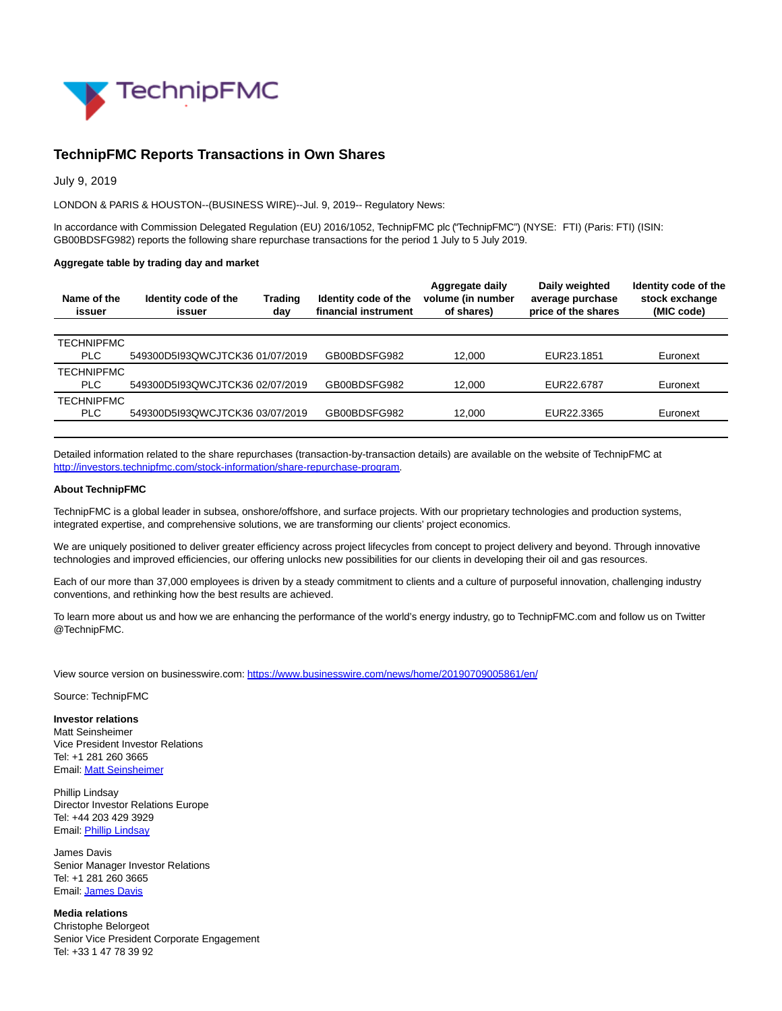

## **TechnipFMC Reports Transactions in Own Shares**

July 9, 2019

LONDON & PARIS & HOUSTON--(BUSINESS WIRE)--Jul. 9, 2019-- Regulatory News:

In accordance with Commission Delegated Regulation (EU) 2016/1052, TechnipFMC plc ("TechnipFMC") (NYSE: FTI) (Paris: FTI) (ISIN: GB00BDSFG982) reports the following share repurchase transactions for the period 1 July to 5 July 2019.

## **Aggregate table by trading day and market**

| Name of the<br>issuer | Identity code of the<br>issuer  | Trading<br>day | Identity code of the<br>financial instrument | Aggregate daily<br>volume (in number<br>of shares) | Daily weighted<br>average purchase<br>price of the shares | Identity code of the<br>stock exchange<br>(MIC code) |
|-----------------------|---------------------------------|----------------|----------------------------------------------|----------------------------------------------------|-----------------------------------------------------------|------------------------------------------------------|
|                       |                                 |                |                                              |                                                    |                                                           |                                                      |
| <b>TECHNIPFMC</b>     |                                 |                |                                              |                                                    |                                                           |                                                      |
| <b>PLC</b>            | 549300D5I93QWCJTCK36 01/07/2019 |                | GB00BDSFG982                                 | 12.000                                             | EUR23.1851                                                | Euronext                                             |
| <b>TECHNIPFMC</b>     |                                 |                |                                              |                                                    |                                                           |                                                      |
| <b>PLC</b>            | 549300D5I93QWCJTCK36 02/07/2019 |                | GB00BDSFG982                                 | 12.000                                             | EUR22.6787                                                | Euronext                                             |
| <b>TECHNIPFMC</b>     |                                 |                |                                              |                                                    |                                                           |                                                      |
| <b>PLC</b>            | 549300D5I93QWCJTCK36 03/07/2019 |                | GB00BDSFG982                                 | 12.000                                             | EUR22.3365                                                | Euronext                                             |
|                       |                                 |                |                                              |                                                    |                                                           |                                                      |

Detailed information related to the share repurchases (transaction-by-transaction details) are available on the website of TechnipFMC at [http://investors.technipfmc.com/stock-information/share-repurchase-program.](https://cts.businesswire.com/ct/CT?id=smartlink&url=http%3A%2F%2Finvestors.technipfmc.com%2Fstock-information%2Fshare-repurchase-program&esheet=52010508&newsitemid=20190709005861&lan=en-US&anchor=http%3A%2F%2Finvestors.technipfmc.com%2Fstock-information%2Fshare-repurchase-program&index=1&md5=60510a2050fc76698022afd6344db8f8)

## **About TechnipFMC**

TechnipFMC is a global leader in subsea, onshore/offshore, and surface projects. With our proprietary technologies and production systems, integrated expertise, and comprehensive solutions, we are transforming our clients' project economics.

We are uniquely positioned to deliver greater efficiency across project lifecycles from concept to project delivery and beyond. Through innovative technologies and improved efficiencies, our offering unlocks new possibilities for our clients in developing their oil and gas resources.

Each of our more than 37,000 employees is driven by a steady commitment to clients and a culture of purposeful innovation, challenging industry conventions, and rethinking how the best results are achieved.

To learn more about us and how we are enhancing the performance of the world's energy industry, go to TechnipFMC.com and follow us on Twitter @TechnipFMC.

View source version on businesswire.com:<https://www.businesswire.com/news/home/20190709005861/en/>

Source: TechnipFMC

**Investor relations** Matt Seinsheimer Vice President Investor Relations Tel: +1 281 260 3665 Email[: Matt Seinsheimer](mailto:InvestorRelations@TechnipFMC.com)

Phillip Lindsay Director Investor Relations Europe Tel: +44 203 429 3929 Email[: Phillip Lindsay](mailto:investorrelations@technipfmc.com)

James Davis Senior Manager Investor Relations Tel: +1 281 260 3665 Email[: James Davis](mailto:InvestorRelations@TechnipFMC.com)

**Media relations** Christophe Belorgeot Senior Vice President Corporate Engagement Tel: +33 1 47 78 39 92